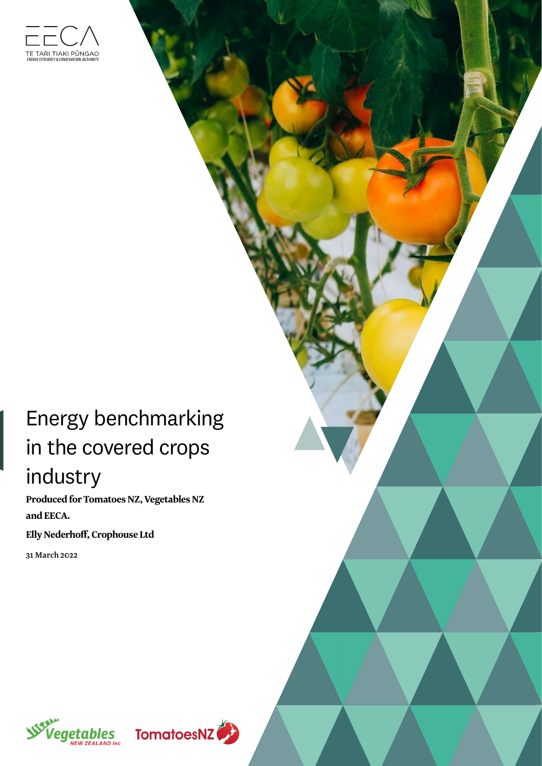

# Energy benchmarking in the covered crops industry

**Produced for Tomatoes NZ, Vegetables NZ and EECA.**

**Elly Nederhoff, Crophouse Ltd**

31 March 2022



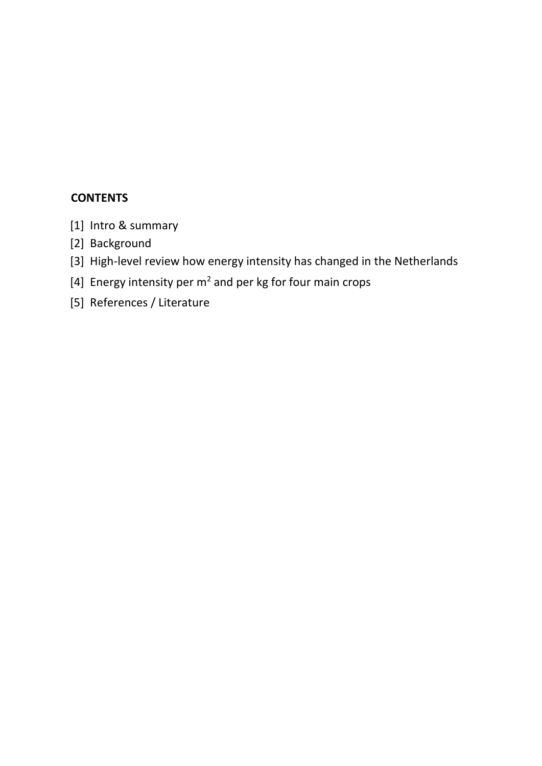#### **CONTENTS**

- [1] Intro & summary
- [2] Background
- [3] High-level review how energy intensity has changed in the Netherlands
- [4] Energy intensity per  $m^2$  and per kg for four main crops
- [5] References / Literature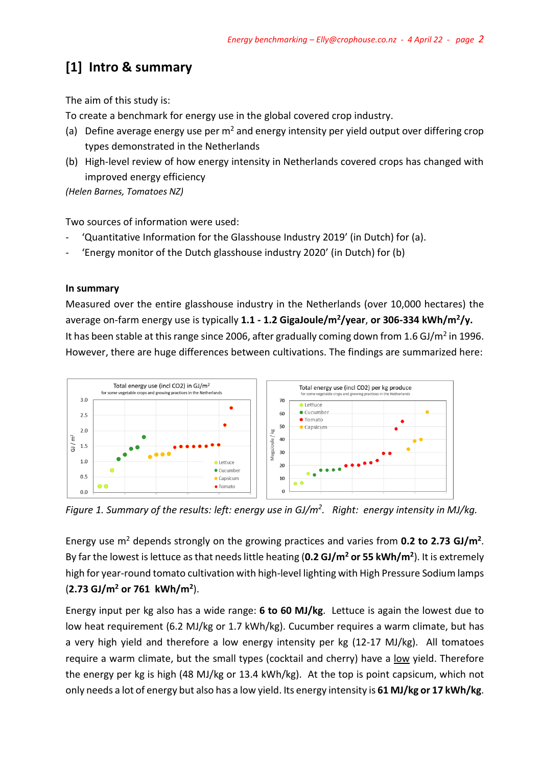# **[1] Intro & summary**

The aim of this study is:

To create a benchmark for energy use in the global covered crop industry.

- (a) Define average energy use per  $m^2$  and energy intensity per yield output over differing crop types demonstrated in the Netherlands
- (b) High-level review of how energy intensity in Netherlands covered crops has changed with improved energy efficiency

*(Helen Barnes, Tomatoes NZ)*

Two sources of information were used:

- 'Quantitative Information for the Glasshouse Industry 2019' (in Dutch) for (a).
- 'Energy monitor of the Dutch glasshouse industry 2020' (in Dutch) for (b)

#### **In summary**

Measured over the entire glasshouse industry in the Netherlands (over 10,000 hectares) the average on-farm energy use is typically **1.1 - 1.2 GigaJoule/m<sup>2</sup> /year**, **or 306-334 kWh/m<sup>2</sup> /y.**  It has been stable at this range since 2006, after gradually coming down from 1.6 GJ/m<sup>2</sup> in 1996. However, there are huge differences between cultivations. The findings are summarized here:



*Figure 1. Summary of the results: left: energy use in GJ/m<sup>2</sup> . Right: energy intensity in MJ/kg.*

Energy use m<sup>2</sup> depends strongly on the growing practices and varies from **0.2 to 2.73 GJ/m<sup>2</sup>**. By far the lowest is lettuce as that needs little heating (**0.2 GJ/m<sup>2</sup> or 55 kWh/m<sup>2</sup>** ). It is extremely high for year-round tomato cultivation with high-level lighting with High Pressure Sodium lamps (**2.73 GJ/m<sup>2</sup> or 761 kWh/m<sup>2</sup>** ).

Energy input per kg also has a wide range: **6 to 60 MJ/kg**. Lettuce is again the lowest due to low heat requirement (6.2 MJ/kg or 1.7 kWh/kg). Cucumber requires a warm climate, but has a very high yield and therefore a low energy intensity per kg (12-17 MJ/kg). All tomatoes require a warm climate, but the small types (cocktail and cherry) have a low yield. Therefore the energy per kg is high (48 MJ/kg or 13.4 kWh/kg). At the top is point capsicum, which not only needs a lot of energy but also has a low yield. Its energy intensity is **61 MJ/kg or 17 kWh/kg**.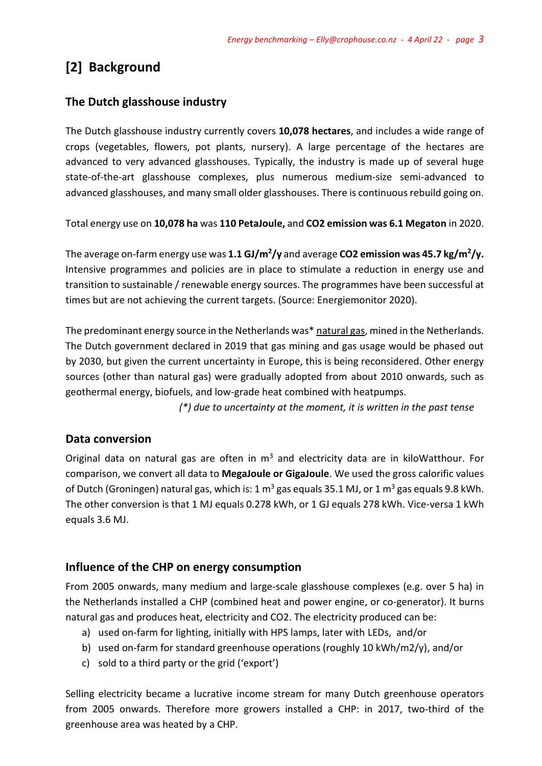## **[2] Background**

#### **The Dutch glasshouse industry**

The Dutch glasshouse industry currently covers **10,078 hectares**, and includes a wide range of crops (vegetables, flowers, pot plants, nursery). A large percentage of the hectares are advanced to very advanced glasshouses. Typically, the industry is made up of several huge state-of-the-art glasshouse complexes, plus numerous medium-size semi-advanced to advanced glasshouses, and many small older glasshouses. There is continuous rebuild going on.

Total energy use on **10,078 ha** was **110 PetaJoule,** and **CO2 emission was 6.1 Megaton** in 2020.

The average on-farm energy use was **1.1 GJ/m<sup>2</sup> /y** and average **CO2 emission was 45.7 kg/m<sup>2</sup> /y.** Intensive programmes and policies are in place to stimulate a reduction in energy use and transition to sustainable / renewable energy sources. The programmes have been successful at times but are not achieving the current targets. (Source: Energiemonitor 2020).

The predominant energy source in the Netherlands was\* natural gas, mined in the Netherlands. The Dutch government declared in 2019 that gas mining and gas usage would be phased out by 2030, but given the current uncertainty in Europe, this is being reconsidered. Other energy sources (other than natural gas) were gradually adopted from about 2010 onwards, such as geothermal energy, biofuels, and low-grade heat combined with heatpumps.

 *(\*) due to uncertainty at the moment, it is written in the past tense*

#### **Data conversion**

Original data on natural gas are often in  $m<sup>3</sup>$  and electricity data are in kiloWatthour. For comparison, we convert all data to **MegaJoule or GigaJoule**. We used the gross calorific values of Dutch (Groningen) natural gas, which is: 1  $m^3$  gas equals 35.1 MJ, or 1  $m^3$  gas equals 9.8 kWh. The other conversion is that 1 MJ equals 0.278 kWh, or 1 GJ equals 278 kWh. Vice-versa 1 kWh equals 3.6 MJ.

#### **Influence of the CHP on energy consumption**

From 2005 onwards, many medium and large-scale glasshouse complexes (e.g. over 5 ha) in the Netherlands installed a CHP (combined heat and power engine, or co-generator). It burns natural gas and produces heat, electricity and CO2. The electricity produced can be:

- a) used on-farm for lighting, initially with HPS lamps, later with LEDs, and/or
- b) used on-farm for standard greenhouse operations (roughly 10 kWh/m2/y), and/or
- c) sold to a third party or the grid ('export')

Selling electricity became a lucrative income stream for many Dutch greenhouse operators from 2005 onwards. Therefore more growers installed a CHP: in 2017, two-third of the greenhouse area was heated by a CHP.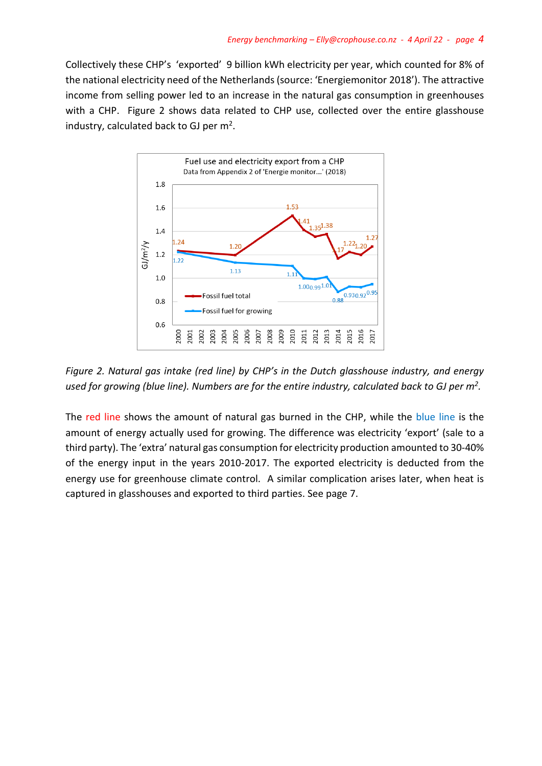Collectively these CHP's 'exported' 9 billion kWh electricity per year, which counted for 8% of the national electricity need of the Netherlands (source: 'Energiemonitor 2018'). The attractive income from selling power led to an increase in the natural gas consumption in greenhouses with a CHP. Figure 2 shows data related to CHP use, collected over the entire glasshouse industry, calculated back to GJ per  $m^2$ .



*Figure 2. Natural gas intake (red line) by CHP's in the Dutch glasshouse industry, and energy used for growing (blue line). Numbers are for the entire industry, calculated back to GJ per m<sup>2</sup> .*

The red line shows the amount of natural gas burned in the CHP, while the blue line is the amount of energy actually used for growing. The difference was electricity 'export' (sale to a third party). The 'extra' natural gas consumption for electricity production amounted to 30-40% of the energy input in the years 2010-2017. The exported electricity is deducted from the energy use for greenhouse climate control. A similar complication arises later, when heat is captured in glasshouses and exported to third parties. See page 7.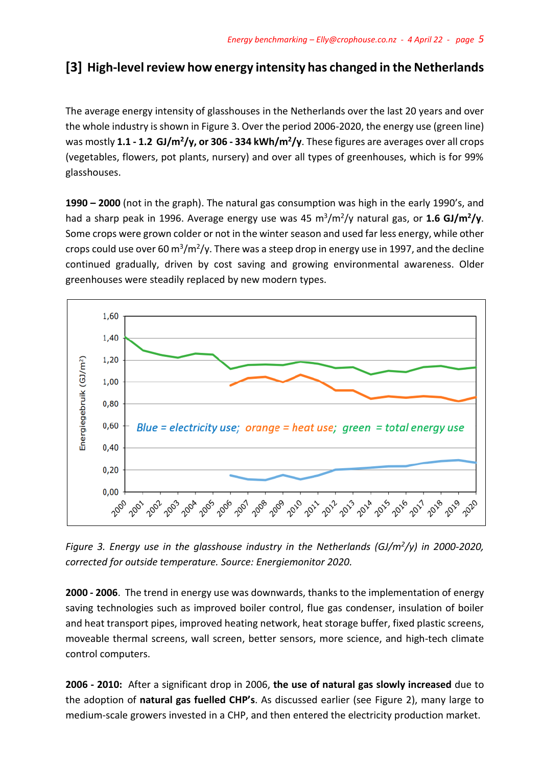### **[3] High-level review how energy intensity has changed in the Netherlands**

The average energy intensity of glasshouses in the Netherlands over the last 20 years and over the whole industry is shown in Figure 3. Over the period 2006-2020, the energy use (green line) was mostly 1.1 - 1.2 GJ/m<sup>2</sup>/y, or 306 - 334 kWh/m<sup>2</sup>/y. These figures are averages over all crops (vegetables, flowers, pot plants, nursery) and over all types of greenhouses, which is for 99% glasshouses.

**1990 – 2000** (not in the graph). The natural gas consumption was high in the early 1990's, and had a sharp peak in 1996. Average energy use was 45 m<sup>3</sup> /m<sup>2</sup> /y natural gas, or **1.6 GJ/m<sup>2</sup> /y**. Some crops were grown colder or not in the winter season and used far less energy, while other crops could use over 60 m<sup>3</sup>/m<sup>2</sup>/y. There was a steep drop in energy use in 1997, and the decline continued gradually, driven by cost saving and growing environmental awareness. Older greenhouses were steadily replaced by new modern types.



*Figure 3. Energy use in the glasshouse industry in the Netherlands (GJ/m<sup>2</sup> /y) in 2000-2020, corrected for outside temperature. Source: Energiemonitor 2020.* 

**2000 - 2006**. The trend in energy use was downwards, thanks to the implementation of energy saving technologies such as improved boiler control, flue gas condenser, insulation of boiler and heat transport pipes, improved heating network, heat storage buffer, fixed plastic screens, moveable thermal screens, wall screen, better sensors, more science, and high-tech climate control computers.

**2006 - 2010:** After a significant drop in 2006, **the use of natural gas slowly increased** due to the adoption of **natural gas fuelled CHP's**. As discussed earlier (see Figure 2), many large to medium-scale growers invested in a CHP, and then entered the electricity production market.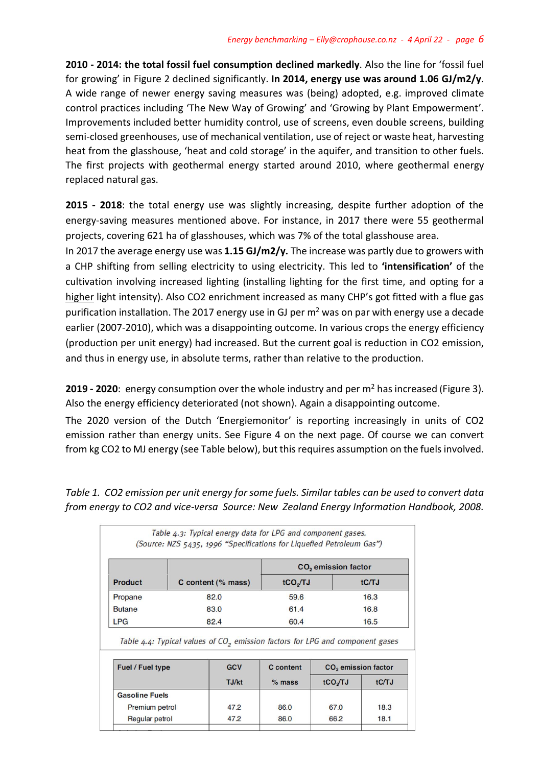**2010 - 2014: the total fossil fuel consumption declined markedly**. Also the line for 'fossil fuel for growing' in Figure 2 declined significantly. **In 2014, energy use was around 1.06 GJ/m2/y**. A wide range of newer energy saving measures was (being) adopted, e.g. improved climate control practices including 'The New Way of Growing' and 'Growing by Plant Empowerment'. Improvements included better humidity control, use of screens, even double screens, building semi-closed greenhouses, use of mechanical ventilation, use of reject or waste heat, harvesting heat from the glasshouse, 'heat and cold storage' in the aquifer, and transition to other fuels. The first projects with geothermal energy started around 2010, where geothermal energy replaced natural gas.

**2015 - 2018**: the total energy use was slightly increasing, despite further adoption of the energy-saving measures mentioned above. For instance, in 2017 there were 55 geothermal projects, covering 621 ha of glasshouses, which was 7% of the total glasshouse area.

In 2017 the average energy use was **1.15 GJ/m2/y.** The increase was partly due to growers with a CHP shifting from selling electricity to using electricity. This led to **'intensification'** of the cultivation involving increased lighting (installing lighting for the first time, and opting for a higher light intensity). Also CO2 enrichment increased as many CHP's got fitted with a flue gas purification installation. The 2017 energy use in GJ per  $m<sup>2</sup>$  was on par with energy use a decade earlier (2007-2010), which was a disappointing outcome. In various crops the energy efficiency (production per unit energy) had increased. But the current goal is reduction in CO2 emission, and thus in energy use, in absolute terms, rather than relative to the production.

**2019 - 2020**: energy consumption over the whole industry and per m<sup>2</sup> has increased (Figure 3). Also the energy efficiency deteriorated (not shown). Again a disappointing outcome.

The 2020 version of the Dutch 'Energiemonitor' is reporting increasingly in units of CO2 emission rather than energy units. See Figure 4 on the next page. Of course we can convert from kg CO2 to MJ energy (see Table below), but this requires assumption on the fuels involved.

*Table 1. CO2 emission per unit energy for some fuels. Similar tables can be used to convert data from energy to CO2 and vice-versa Source: New Zealand Energy Information Handbook, 2008.*

|                       |                    | CO <sub>2</sub> emission factor                                                                        |                                 |       |  |  |  |  |
|-----------------------|--------------------|--------------------------------------------------------------------------------------------------------|---------------------------------|-------|--|--|--|--|
| <b>Product</b>        | C content (% mass) | tCO <sub>y</sub> TJ                                                                                    | tC/TJ                           |       |  |  |  |  |
| Propane               | 82.0               | 59.6                                                                                                   |                                 | 16.3  |  |  |  |  |
| <b>Butane</b>         | 83.0               | 61.4                                                                                                   |                                 | 16.8  |  |  |  |  |
| <b>LPG</b>            | 82.4               | 60.4                                                                                                   |                                 | 16.5  |  |  |  |  |
| Fuel / Fuel type      | <b>GCV</b>         | Table 4.4: Typical values of CO <sub>2</sub> emission factors for LPG and component gases<br>C content | CO <sub>2</sub> emission factor |       |  |  |  |  |
|                       | TJ/kt              | $%$ mass                                                                                               | tCO <sub>J</sub> TJ             | tC/TJ |  |  |  |  |
|                       |                    |                                                                                                        |                                 |       |  |  |  |  |
| <b>Gasoline Fuels</b> |                    |                                                                                                        |                                 |       |  |  |  |  |
| Premium petrol        | 47.2               | 86.0                                                                                                   | 67.0                            | 18.3  |  |  |  |  |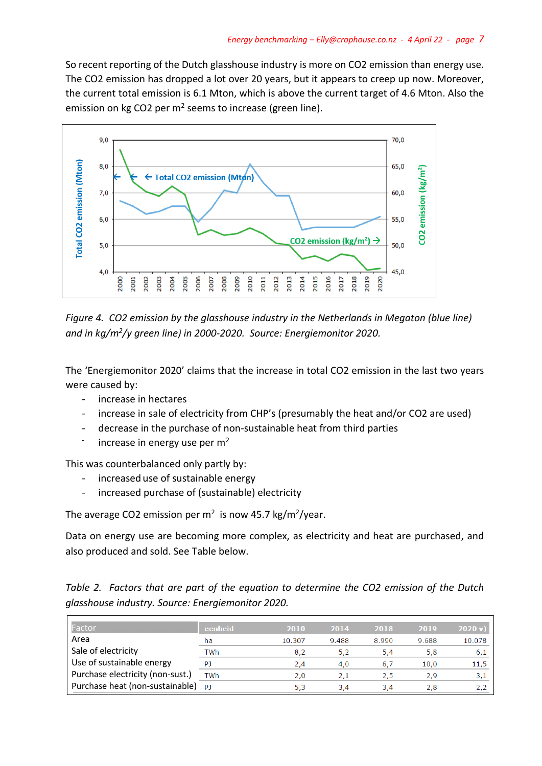So recent reporting of the Dutch glasshouse industry is more on CO2 emission than energy use. The CO2 emission has dropped a lot over 20 years, but it appears to creep up now. Moreover, the current total emission is 6.1 Mton, which is above the current target of 4.6 Mton. Also the emission on kg CO2 per  $m<sup>2</sup>$  seems to increase (green line).



*Figure 4. CO2 emission by the glasshouse industry in the Netherlands in Megaton (blue line)*  and in kg/m<sup>2</sup>/y green line) in 2000-2020. Source: Energiemonitor 2020.

The 'Energiemonitor 2020' claims that the increase in total CO2 emission in the last two years were caused by:

- increase in hectares
- increase in sale of electricity from CHP's (presumably the heat and/or CO2 are used)
- decrease in the purchase of non-sustainable heat from third parties
- increase in energy use per m<sup>2</sup>

This was counterbalanced only partly by:

- increased use of sustainable energy
- increased purchase of (sustainable) electricity

The average CO2 emission per  $m^2$  is now 45.7 kg/m<sup>2</sup>/year.

Data on energy use are becoming more complex, as electricity and heat are purchased, and also produced and sold. See Table below.

|  |  |                                                   | Table 2. Factors that are part of the equation to determine the CO2 emission of the Dutch |  |  |  |
|--|--|---------------------------------------------------|-------------------------------------------------------------------------------------------|--|--|--|
|  |  | glasshouse industry. Source: Energiemonitor 2020. |                                                                                           |  |  |  |

| Factor                           | eenheid | 2010   | 2014  | 2018  | 2019  | 2020 v |
|----------------------------------|---------|--------|-------|-------|-------|--------|
| Area                             | ha      | 10.307 | 9.488 | 8.990 | 9.688 | 10.078 |
| Sale of electricity              | TWh     | 8.2    | 5,2   | 5,4   | 5,8   | 6,1    |
| Use of sustainable energy        | P1      | 2.4    | 4.0   | 6,7   | 10.0  | 11,5   |
| Purchase electricity (non-sust.) | TWh     | 2.0    | 2,1   | 2,5   | 2.9   | 3,1    |
| Purchase heat (non-sustainable)  | P1      | 5.3    | 3.4   | 3.4   | 2,8   |        |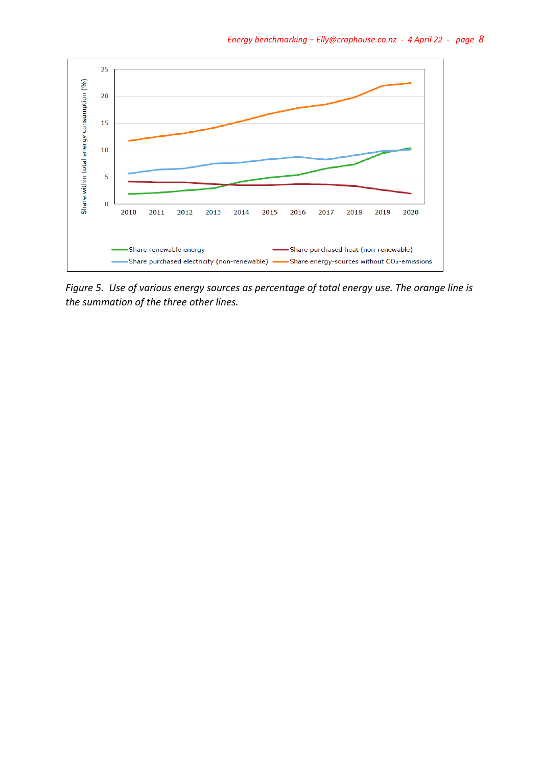

*Figure 5. Use of various energy sources as percentage of total energy use. The orange line is the summation of the three other lines.*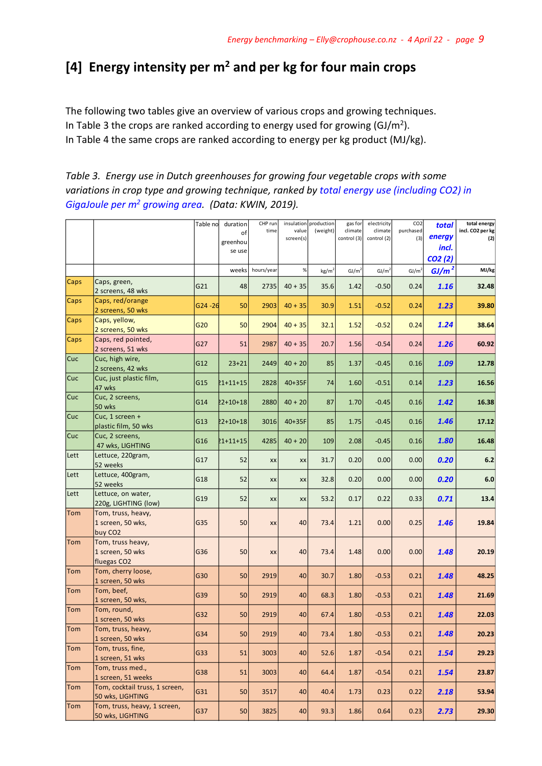### **[4] Energy intensity per m<sup>2</sup> and per kg for four main crops**

The following two tables give an overview of various crops and growing techniques. In Table 3 the crops are ranked according to energy used for growing (GJ/m<sup>2</sup>). In Table 4 the same crops are ranked according to energy per kg product (MJ/kg).

*Table 3. Energy use in Dutch greenhouses for growing four vegetable crops with some variations in crop type and growing technique, ranked by total energy use (including CO2) in GigaJoule per m<sup>2</sup> growing area. (Data: KWIN, 2019).*

|             |                                                                  | Table no   | duration<br>οf<br>greenhou<br>se use | CHP run<br>time | value<br>screen(s) | insulation production<br>(weight) | gas for<br>climate<br>control (3) | electricity<br>climate<br>control (2) | CO <sub>2</sub><br>purchased<br>(3) | total<br>energy<br>incl.<br>CO2(2) | total energy<br>incl. CO2 per kg<br>(2) |
|-------------|------------------------------------------------------------------|------------|--------------------------------------|-----------------|--------------------|-----------------------------------|-----------------------------------|---------------------------------------|-------------------------------------|------------------------------------|-----------------------------------------|
|             |                                                                  |            | weeks                                | hours/year      | %                  | kg/m <sup>2</sup>                 | GI/m <sup>2</sup>                 | GI/m <sup>2</sup>                     | GI/m <sup>2</sup>                   | GJ/m <sup>2</sup>                  | MJ/kg                                   |
| Caps        | Caps, green,<br>2 screens, 48 wks                                | G21        | 48                                   | 2735            | $40 + 35$          | 35.6                              | 1.42                              | $-0.50$                               | 0.24                                | 1.16                               | 32.48                                   |
| Caps        | Caps, red/orange<br>2 screens, 50 wks                            | $G24 - 26$ | 50                                   | 2903            | $40 + 35$          | 30.9                              | 1.51                              | $-0.52$                               | 0.24                                | 1.23                               | 39.80                                   |
| Caps        | Caps, yellow,<br>2 screens, 50 wks                               | G20        | 50                                   | 2904            | $40 + 35$          | 32.1                              | 1.52                              | $-0.52$                               | 0.24                                | 1.24                               | 38.64                                   |
| <b>Caps</b> | Caps, red pointed,<br>2 screens, 51 wks                          | G27        | 51                                   | 2987            | $40 + 35$          | 20.7                              | 1.56                              | $-0.54$                               | 0.24                                | 1.26                               | 60.92                                   |
| <b>Cuc</b>  | Cuc, high wire,<br>2 screens, 42 wks                             | G12        | $23 + 21$                            | 2449            | $40 + 20$          | 85                                | 1.37                              | $-0.45$                               | 0.16                                | 1.09                               | 12.78                                   |
| Cuc         | Cuc, just plastic film,<br>47 wks                                | G15        | 21+11+15                             | 2828            | 40+35F             | 74                                | 1.60                              | $-0.51$                               | 0.14                                | 1.23                               | 16.56                                   |
| Cuc         | Cuc, 2 screens,<br>50 wks                                        | G14        | $2 + 10 + 18$                        | 2880            | $40 + 20$          | 87                                | 1.70                              | $-0.45$                               | 0.16                                | 1.42                               | 16.38                                   |
| Cuc         | Cuc, 1 screen +<br>plastic film, 50 wks                          | G13        | 22+10+18                             | 3016            | 40+35F             | 85                                | 1.75                              | $-0.45$                               | 0.16                                | 1.46                               | 17.12                                   |
| <b>Cuc</b>  | Cuc, 2 screens,<br>47 wks, LIGHTING                              | G16        | 21+11+15                             | 4285            | $40 + 20$          | 109                               | 2.08                              | $-0.45$                               | 0.16                                | 1.80                               | 16.48                                   |
| Lett        | Lettuce, 220gram,<br>52 weeks                                    | G17        | 52                                   | <b>XX</b>       | XX                 | 31.7                              | 0.20                              | 0.00                                  | 0.00                                | 0.20                               | $6.2$                                   |
| Lett        | Lettuce, 400gram,<br>52 weeks                                    | G18        | 52                                   | XX              | XX                 | 32.8                              | 0.20                              | 0.00                                  | 0.00                                | 0.20                               | $6.0\,$                                 |
| Lett        | Lettuce, on water,<br>220g, LIGHTING (low)                       | G19        | 52                                   | XX              | XX                 | 53.2                              | 0.17                              | 0.22                                  | 0.33                                | 0.71                               | 13.4                                    |
| Tom         | Tom, truss, heavy,<br>1 screen, 50 wks,<br>buy CO <sub>2</sub>   | G35        | 50                                   | XX              | 40                 | 73.4                              | 1.21                              | 0.00                                  | 0.25                                | 1.46                               | 19.84                                   |
| Tom         | Tom, truss heavy,<br>1 screen, 50 wks<br>fluegas CO <sub>2</sub> | G36        | 50                                   | XX              | 40                 | 73.4                              | 1.48                              | 0.00                                  | 0.00                                | 1.48                               | 20.19                                   |
| Tom         | Tom, cherry loose,<br>1 screen, 50 wks                           | G30        | 50                                   | 2919            | 40                 | 30.7                              | 1.80                              | $-0.53$                               | 0.21                                | 1.48                               | 48.25                                   |
| Tom         | Tom, beef,<br>1 screen, 50 wks,                                  | G39        | 50                                   | 2919            | 40                 | 68.3                              | 1.80                              | $-0.53$                               | 0.21                                | 1.48                               | 21.69                                   |
| Tom         | Tom, round,<br>1 screen, 50 wks                                  | G32        | 50                                   | 2919            | 40                 | 67.4                              | 1.80                              | $-0.53$                               | 0.21                                | 1.48                               | 22.03                                   |
| Tom         | Tom, truss, heavy,<br>1 screen, 50 wks                           | G34        | 50                                   | 2919            | 40                 | 73.4                              | 1.80                              | $-0.53$                               | 0.21                                | 1.48                               | 20.23                                   |
| Tom         | Tom, truss, fine,<br>1 screen, 51 wks                            | G33        | 51                                   | 3003            | 40                 | 52.6                              | 1.87                              | $-0.54$                               | 0.21                                | 1.54                               | 29.23                                   |
| Tom         | Tom, truss med.,<br>1 screen, 51 weeks                           | G38        | 51                                   | 3003            | 40                 | 64.4                              | 1.87                              | $-0.54$                               | 0.21                                | 1.54                               | 23.87                                   |
| Tom         | Tom, cocktail truss, 1 screen,<br>50 wks, LIGHTING               | G31        | 50                                   | 3517            | 40                 | 40.4                              | 1.73                              | 0.23                                  | 0.22                                | 2.18                               | 53.94                                   |
| Tom         | Tom, truss, heavy, 1 screen,<br>50 wks, LIGHTING                 | G37        | 50                                   | 3825            | 40                 | 93.3                              | 1.86                              | 0.64                                  | 0.23                                | 2.73                               | 29.30                                   |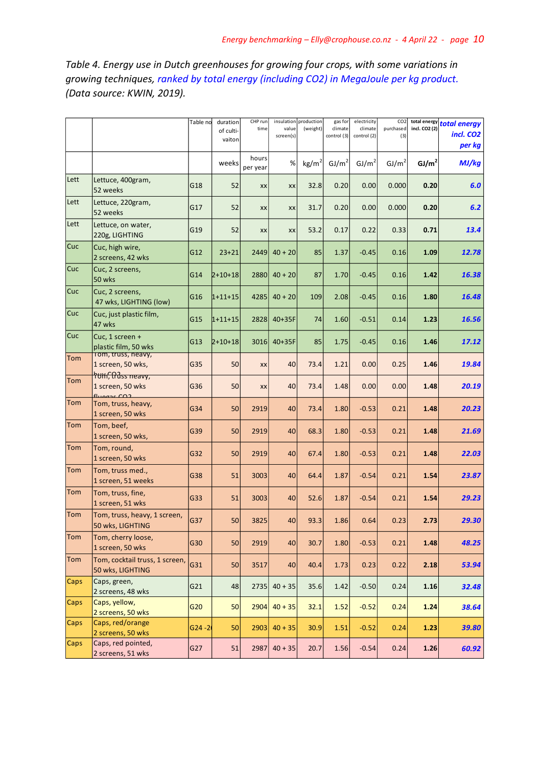*Table 4. Energy use in Dutch greenhouses for growing four crops, with some variations in growing techniques, ranked by total energy (including CO2) in MegaJoule per kg product. (Data source: KWIN, 2019).*

|             |                                                    | Table no  | duration<br>of culti-<br>vaiton | CHP run<br>time   | value<br>screen(s) | insulation production<br>(weight) | gas for<br>climate<br>control (3) | electricity<br>climate<br>control (2) | CO <sub>2</sub><br>purchased<br>(3) | incl. CO2 (2)     | total energy total energy<br>incl. CO <sub>2</sub><br>per kg |
|-------------|----------------------------------------------------|-----------|---------------------------------|-------------------|--------------------|-----------------------------------|-----------------------------------|---------------------------------------|-------------------------------------|-------------------|--------------------------------------------------------------|
|             |                                                    |           | weeks                           | hours<br>per year | %                  | kg/m <sup>2</sup>                 | GJ/m <sup>2</sup>                 | GJ/m <sup>2</sup>                     | GJ/m <sup>2</sup>                   | GJ/m <sup>2</sup> | MJ/kg                                                        |
| Lett        | Lettuce, 400gram,<br>52 weeks                      | G18       | 52                              | XX                | XX                 | 32.8                              | 0.20                              | 0.00                                  | 0.000                               | 0.20              | 6.0                                                          |
| Lett        | Lettuce, 220gram,<br>52 weeks                      | G17       | 52                              | XX                | XX                 | 31.7                              | 0.20                              | 0.00                                  | 0.000                               | 0.20              | 6.2                                                          |
| Lett        | Lettuce, on water,<br>220g, LIGHTING               | G19       | 52                              | XX                | XX                 | 53.2                              | 0.17                              | 0.22                                  | 0.33                                | 0.71              | 13.4                                                         |
| Cuc         | Cuc, high wire,<br>2 screens, 42 wks               | G12       | $23 + 21$                       | 2449              | $40 + 20$          | 85                                | 1.37                              | $-0.45$                               | 0.16                                | 1.09              | 12.78                                                        |
| Cuc         | Cuc, 2 screens,<br>50 wks                          | G14       | 2+10+18                         | 2880              | $40 + 20$          | 87                                | 1.70                              | $-0.45$                               | 0.16                                | 1.42              | 16.38                                                        |
| Cuc         | Cuc, 2 screens,<br>47 wks, LIGHTING (low)          | G16       | 1+11+15                         | 4285              | $40 + 20$          | 109                               | 2.08                              | $-0.45$                               | 0.16                                | 1.80              | 16.48                                                        |
| Cuc         | Cuc, just plastic film,<br>47 wks                  | G15       | $1+11+15$                       | 2828              | 40+35F             | 74                                | 1.60                              | $-0.51$                               | 0.14                                | 1.23              | 16.56                                                        |
| Cuc         | Cuc, 1 screen +<br>plastic film, 50 wks            | G13       | 2+10+18                         | 3016              | 40+35F             | 85                                | 1.75                              | $-0.45$                               | 0.16                                | 1.46              | 17.12                                                        |
| Tom         | rom, truss, neavy,<br>1 screen, 50 wks,            | G35       | 50                              | XX                | 40                 | 73.4                              | 1.21                              | 0.00                                  | 0.25                                | 1.46              | 19.84                                                        |
| Tom         | hum, thus neavy,<br>1 screen, 50 wks<br>fluone CO2 | G36       | 50                              | XX                | 40                 | 73.4                              | 1.48                              | 0.00                                  | 0.00                                | 1.48              | 20.19                                                        |
| Tom         | Tom, truss, heavy,<br>1 screen, 50 wks             | G34       | 50                              | 2919              | 40                 | 73.4                              | 1.80                              | $-0.53$                               | 0.21                                | 1.48              | 20.23                                                        |
| Tom         | Tom, beef,<br>1 screen, 50 wks,                    | G39       | 50                              | 2919              | 40                 | 68.3                              | 1.80                              | $-0.53$                               | 0.21                                | 1.48              | 21.69                                                        |
| Tom         | Tom, round,<br>1 screen, 50 wks                    | G32       | 50                              | 2919              | 40                 | 67.4                              | 1.80                              | $-0.53$                               | 0.21                                | 1.48              | 22.03                                                        |
| Tom         | Tom, truss med.,<br>1 screen, 51 weeks             | G38       | 51                              | 3003              | 40                 | 64.4                              | 1.87                              | $-0.54$                               | 0.21                                | 1.54              | 23.87                                                        |
| Tom         | Tom, truss, fine,<br>1 screen, 51 wks              | G33       | 51                              | 3003              | 40                 | 52.6                              | 1.87                              | $-0.54$                               | 0.21                                | 1.54              | 29.23                                                        |
| Tom         | Tom, truss, heavy, 1 screen,<br>50 wks, LIGHTING   | G37       | 50                              | 3825              | 40                 | 93.3                              | 1.86                              | 0.64                                  | 0.23                                | 2.73              | 29.30                                                        |
| Tom         | Tom, cherry loose,<br>1 screen, 50 wks             | G30       | 50                              | 2919              | 40                 | 30.7                              | 1.80                              | $-0.53$                               | 0.21                                | 1.48              | 48.25                                                        |
| Tom         | Tom, cocktail truss, 1 screen,<br>50 wks, LIGHTING | G31       | 50                              | 3517              | 40                 | 40.4                              | 1.73                              | 0.23                                  | 0.22                                | 2.18              | 53.94                                                        |
| Caps        | Caps, green,<br>2 screens, 48 wks                  | G21       | 48                              | 2735              | $40 + 35$          | 35.6                              | 1.42                              | $-0.50$                               | 0.24                                | 1.16              | 32.48                                                        |
| Caps        | Caps, yellow,<br>2 screens, 50 wks                 | G20       | 50                              | 2904              | $40 + 35$          | 32.1                              | 1.52                              | $-0.52$                               | 0.24                                | 1.24              | 38.64                                                        |
| <b>Caps</b> | Caps, red/orange<br>2 screens, 50 wks              | $G24 - 2$ | 50                              | 2903              | $40 + 35$          | 30.9                              | 1.51                              | $-0.52$                               | 0.24                                | 1.23              | 39.80                                                        |
| Caps        | Caps, red pointed,<br>2 screens, 51 wks            | G27       | 51                              | 2987              | $40 + 35$          | 20.7                              | 1.56                              | $-0.54$                               | 0.24                                | 1.26              | 60.92                                                        |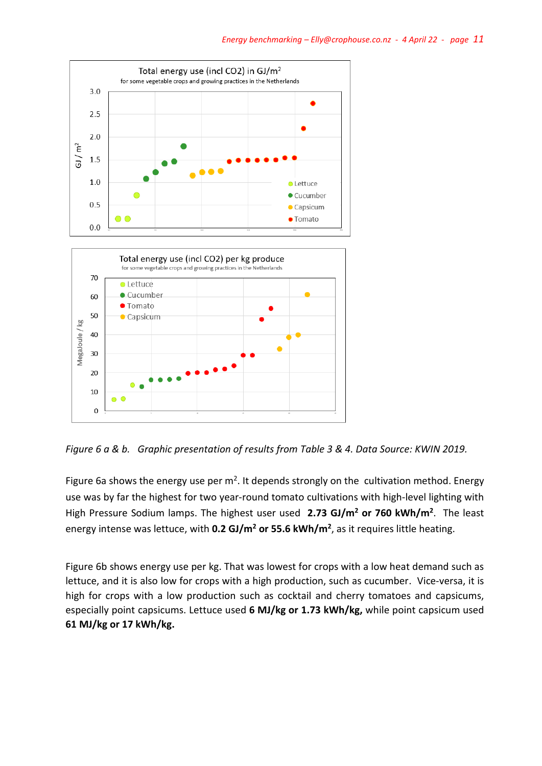

*Figure 6 a & b. Graphic presentation of results from Table 3 & 4. Data Source: KWIN 2019.*

Figure 6a shows the energy use per  $m^2$ . It depends strongly on the cultivation method. Energy use was by far the highest for two year-round tomato cultivations with high-level lighting with High Pressure Sodium lamps. The highest user used **2.73 GJ/m<sup>2</sup> or 760 kWh/m<sup>2</sup>** . The least energy intense was lettuce, with **0.2 GJ/m<sup>2</sup> or 55.6 kWh/m<sup>2</sup>** , as it requires little heating.

Figure 6b shows energy use per kg. That was lowest for crops with a low heat demand such as lettuce, and it is also low for crops with a high production, such as cucumber. Vice-versa, it is high for crops with a low production such as cocktail and cherry tomatoes and capsicums, especially point capsicums. Lettuce used **6 MJ/kg or 1.73 kWh/kg,** while point capsicum used **61 MJ/kg or 17 kWh/kg.**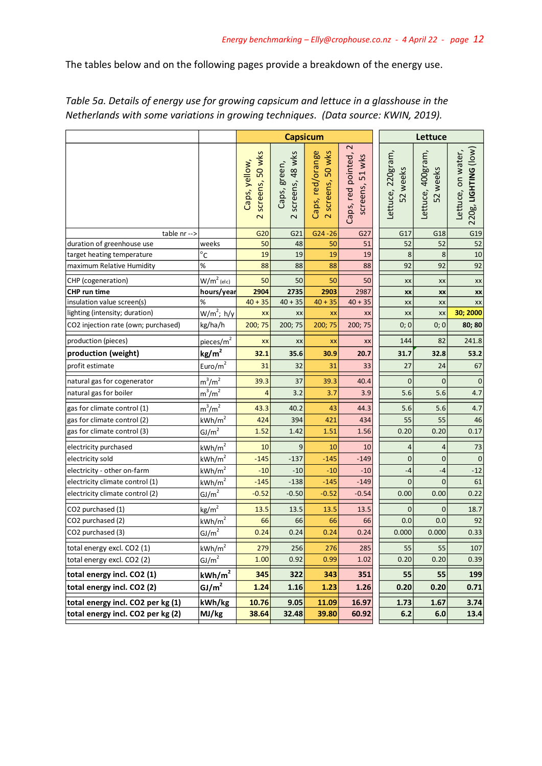The tables below and on the following pages provide a breakdown of the energy use.

|                                     |                       |                                                             | <b>Capsicum</b>                           |                                       |                                                            | Lettuce                       |                               |                                            |  |
|-------------------------------------|-----------------------|-------------------------------------------------------------|-------------------------------------------|---------------------------------------|------------------------------------------------------------|-------------------------------|-------------------------------|--------------------------------------------|--|
|                                     |                       | screens, 50 wks<br>Caps, yellow,<br>$\overline{\mathsf{C}}$ | screens, 48 wks<br>Caps, green,<br>$\sim$ | 2 screens, 50 wks<br>Caps, red/orange | $\mathbf{\Omega}$<br>Caps, red pointed,<br>screens, 51 wks | Lettuce, 220gram,<br>52 weeks | Lettuce, 400gram,<br>52 weeks | 220g, LIGHTING (low)<br>Lettuce, on water, |  |
| table nr -->                        |                       | G20                                                         | G21                                       | $G24 - 26$                            | G27                                                        | G17                           | G18                           | G19                                        |  |
| duration of greenhouse use          | weeks                 | 50                                                          | 48                                        | 50                                    | 51                                                         | 52                            | 52                            | 52                                         |  |
| target heating temperature          | $^{\circ}$ C          | 19                                                          | 19                                        | 19                                    | 19                                                         | 8                             | 8                             | 10                                         |  |
| maximum Relative Humidity           | $\%$                  | 88                                                          | 88                                        | 88                                    | 88                                                         | 92                            | 92                            | 92                                         |  |
| CHP (cogeneration)                  | $W/m2$ (elc)          | 50                                                          | 50                                        | 50                                    | 50                                                         | XX                            | XX                            | XX                                         |  |
| <b>CHP</b> run time                 | hours/year            | 2904                                                        | 2735                                      | 2903                                  | 2987                                                       | XX                            | XX                            | XX                                         |  |
| insulation value screen(s)          | %                     | $40 + 35$                                                   | $40 + 35$                                 | $40 + 35$                             | $40 + 35$                                                  | XX                            | XX                            | XX                                         |  |
| lighting (intensity; duration)      | $W/m^2$ ; h/y         | XX                                                          | XX                                        | XX                                    | XX                                                         | XX                            | XX                            | 30; 2000                                   |  |
| CO2 injection rate (own; purchased) | kg/ha/h               | 200; 75                                                     | 200; 75                                   | 200; 75                               | 200; 75                                                    | 0; 0                          | 0;0                           | 80; 80                                     |  |
| production (pieces)                 | pieces/m <sup>2</sup> | XX                                                          | XX                                        | XX                                    | XX                                                         | 144                           | 82                            | 241.8                                      |  |
| production (weight)                 | kg/m <sup>2</sup>     | 32.1                                                        | 35.6                                      | 30.9                                  | 20.7                                                       | 31.7                          | 32.8                          | 53.2                                       |  |
| profit estimate                     | Euro/ $m^2$           | 31                                                          | 32                                        | 31                                    | 33                                                         | 27                            | 24                            | 67                                         |  |
| natural gas for cogenerator         | $m^3/m^2$             | 39.3                                                        | 37                                        | 39.3                                  | 40.4                                                       | $\overline{0}$                | $\mathbf 0$                   | $\mathbf 0$                                |  |
| natural gas for boiler              | $m^3/m^2$             | 4                                                           | 3.2                                       | 3.7                                   | 3.9                                                        | 5.6                           | 5.6                           | 4.7                                        |  |
| gas for climate control (1)         | $m^3/m^2$             | 43.3                                                        | 40.2                                      | 43                                    | 44.3                                                       | 5.6                           | 5.6                           | 4.7                                        |  |
| gas for climate control (2)         | kWh/m <sup>2</sup>    | 424                                                         | 394                                       | 421                                   | 434                                                        | 55                            | 55                            | 46                                         |  |
| gas for climate control (3)         | GJ/m <sup>2</sup>     | 1.52                                                        | 1.42                                      | 1.51                                  | 1.56                                                       | 0.20                          | 0.20                          | 0.17                                       |  |
| electricity purchased               | kWh/m <sup>2</sup>    | 10                                                          | 9                                         | 10                                    | 10                                                         | 4                             | $\overline{4}$                | 73                                         |  |
| electricity sold                    | kWh/m <sup>2</sup>    | $-145$                                                      | $-137$                                    | $-145$                                | $-149$                                                     | $\mathbf 0$                   | $\mathbf 0$                   | $\mathbf 0$                                |  |
| electricity - other on-farm         | kWh/m <sup>2</sup>    | $-10$                                                       | $-10$                                     | $-10$                                 | $-10$                                                      | $-4$                          | $-4$                          | $-12$                                      |  |
| electricity climate control (1)     | kWh/m <sup>2</sup>    | $-145$                                                      | $-138$                                    | $-145$                                | $-149$                                                     | 0                             | 0                             | 61                                         |  |
| electricity climate control (2)     | GJ/m <sup>2</sup>     | $-0.52$                                                     | $-0.50$                                   | $-0.52$                               | $-0.54$                                                    | 0.00                          | 0.00                          | 0.22                                       |  |
| CO2 purchased (1)                   | $\text{kg/m}^2$       | 13.5                                                        | 13.5                                      | 13.5                                  | 13.5                                                       | 0                             | 0                             | 18.7                                       |  |
| CO2 purchased (2)                   | kWh/m <sup>2</sup>    | 66                                                          | 66                                        | 66                                    | 66                                                         | 0.0                           | 0.0                           | 92                                         |  |
| CO2 purchased (3)                   | GI/m <sup>2</sup>     | 0.24                                                        | 0.24                                      | 0.24                                  | 0.24                                                       | 0.000                         | 0.000                         | 0.33                                       |  |
| total energy excl. CO2 (1)          | kWh/m <sup>2</sup>    | 279                                                         | 256                                       | 276                                   | 285                                                        | 55                            | 55                            | 107                                        |  |
| total energy excl. CO2 (2)          | GJ/m <sup>2</sup>     | 1.00                                                        | 0.92                                      | 0.99                                  | 1.02                                                       | 0.20                          | 0.20                          | 0.39                                       |  |
| total energy incl. CO2 (1)          | kWh/m <sup>2</sup>    | 345                                                         | 322                                       | 343                                   | 351                                                        | 55                            | 55                            | 199                                        |  |
| total energy incl. CO2 (2)          | GJ/m <sup>2</sup>     | 1.24                                                        | 1.16                                      | 1.23                                  | 1.26                                                       | 0.20                          | 0.20                          | 0.71                                       |  |
| total energy incl. CO2 per kg (1)   | kWh/kg                | 10.76                                                       | 9.05                                      | 11.09                                 | 16.97                                                      | 1.73                          | 1.67                          | 3.74                                       |  |
| total energy incl. CO2 per kg (2)   | MJ/kg                 | 38.64                                                       | 32.48                                     | 39.80                                 | 60.92                                                      | 6.2                           | 6.0                           | 13.4                                       |  |

*Table 5a. Details of energy use for growing capsicum and lettuce in a glasshouse in the Netherlands with some variations in growing techniques. (Data source: KWIN, 2019).*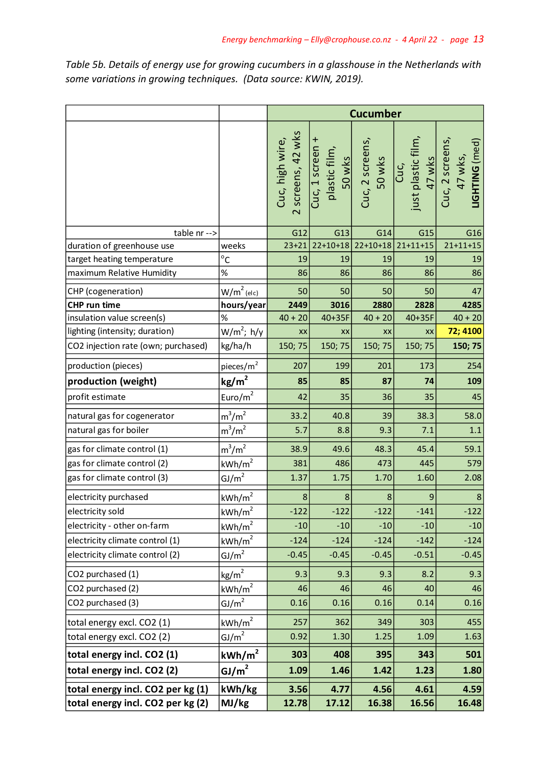*Table 5b. Details of energy use for growing cucumbers in a glasshouse in the Netherlands with some variations in growing techniques. (Data source: KWIN, 2019).*

|                                     |                    | <b>Cucumber</b>                      |                                                                         |            |                                                                    |                |  |
|-------------------------------------|--------------------|--------------------------------------|-------------------------------------------------------------------------|------------|--------------------------------------------------------------------|----------------|--|
|                                     |                    | 2 screens, 42 wks<br>Cuc, high wire, | Cuc, 1 screen +<br>plastic film,<br>50 wks<br>Cuc, 2 screens,<br>50 wks |            | Cuc,<br>just plastic film,<br>47 wks<br>Cuc, 2 screens,<br>47 wks, | LIGHTING (med) |  |
| table nr -->                        |                    | G12                                  | G13                                                                     | G14        | G15                                                                | G16            |  |
| duration of greenhouse use          | weeks              | $23 + 21$                            | $22+10+18$                                                              | $22+10+18$ | $21+11+15$                                                         | $21 + 11 + 15$ |  |
| target heating temperature          | $^{\circ}$ C       | 19                                   | 19                                                                      | 19         | 19                                                                 | 19             |  |
| maximum Relative Humidity           | %                  | 86                                   | 86                                                                      | 86         | 86                                                                 | 86             |  |
| CHP (cogeneration)                  | $W/m2$ (elc)       | 50                                   | 50                                                                      | 50         | 50                                                                 | 47             |  |
| CHP run time                        | hours/year         | 2449                                 | 3016                                                                    | 2880       | 2828                                                               | 4285           |  |
| insulation value screen(s)          | %                  | $40 + 20$                            | 40+35F                                                                  | $40 + 20$  | $40+35F$                                                           | $40 + 20$      |  |
| lighting (intensity; duration)      | $W/m^2$ ; h/y      | XX                                   | XX                                                                      | XX         | XX                                                                 | 72; 4100       |  |
| CO2 injection rate (own; purchased) | kg/ha/h            | 150; 75                              | 150; 75                                                                 | 150; 75    | 150; 75                                                            | 150; 75        |  |
| production (pieces)                 | pieces/ $m2$       | 207                                  | 199                                                                     | 201        | 173                                                                | 254            |  |
| production (weight)                 | kg/m <sup>2</sup>  | 85                                   | 85                                                                      | 87         | 74                                                                 | 109            |  |
| profit estimate                     | Euro/ $m^2$        | 42                                   | 35                                                                      | 36         | 35                                                                 | 45             |  |
| natural gas for cogenerator         | $m^3/m^2$          | 33.2                                 | 40.8                                                                    | 39         | 38.3                                                               | 58.0           |  |
| natural gas for boiler              | $m^3/m^2$          | 5.7                                  | 8.8                                                                     | 9.3        | 7.1                                                                | 1.1            |  |
| gas for climate control (1)         | $m^3/m^2$          | 38.9                                 | 49.6                                                                    | 48.3       | 45.4                                                               | 59.1           |  |
| gas for climate control (2)         | kWh/m <sup>2</sup> | 381                                  | 486                                                                     | 473        | 445                                                                | 579            |  |
| gas for climate control (3)         | GJ/m <sup>2</sup>  | 1.37                                 | 1.75                                                                    | 1.70       | 1.60                                                               | 2.08           |  |
| electricity purchased               | kWh/m <sup>2</sup> | 8                                    | 8                                                                       | 8          | $\mathsf 9$                                                        | $\bf 8$        |  |
| electricity sold                    | kWh/m <sup>2</sup> | $-122$                               | $-122$                                                                  | $-122$     | $-141$                                                             | $-122$         |  |
| electricity - other on-farm         | kWh/m <sup>2</sup> | $-10$                                | $-10$                                                                   | $-10$      | $-10$                                                              | $-10$          |  |
| electricity climate control (1)     | kWh/m <sup>2</sup> | $-124$                               | $-124$                                                                  | $-124$     | $-142$                                                             | $-124$         |  |
| electricity climate control (2)     | GJ/m <sup>2</sup>  | $-0.45$                              | $-0.45$                                                                 | $-0.45$    | $-0.51$                                                            | $-0.45$        |  |
| CO2 purchased (1)                   | $\text{kg/m}^2$    | 9.3                                  | 9.3                                                                     | 9.3        | 8.2                                                                | 9.3            |  |
| CO2 purchased (2)                   | kWh/m <sup>2</sup> | 46                                   | 46                                                                      | 46         | 40                                                                 | 46             |  |
| CO2 purchased (3)                   | GJ/m <sup>2</sup>  | 0.16                                 | 0.16                                                                    | 0.16       | 0.14                                                               | 0.16           |  |
| total energy excl. CO2 (1)          | kWh/m <sup>2</sup> | 257                                  | 362                                                                     | 349        | 303                                                                | 455            |  |
| total energy excl. CO2 (2)          | GJ/m <sup>2</sup>  | 0.92                                 | 1.30                                                                    | 1.25       | 1.09                                                               | 1.63           |  |
| total energy incl. CO2 (1)          | kWh/m <sup>2</sup> | 303                                  | 408                                                                     | 395        | 343                                                                | 501            |  |
| total energy incl. CO2 (2)          | GI/m <sup>2</sup>  | 1.09                                 | 1.46                                                                    | 1.42       | 1.23                                                               | 1.80           |  |
| total energy incl. CO2 per kg (1)   | kWh/kg             | 3.56                                 | 4.77                                                                    | 4.56       | 4.61                                                               | 4.59           |  |
| total energy incl. CO2 per kg (2)   | MJ/kg              | 12.78                                | 17.12                                                                   | 16.38      | 16.56                                                              | 16.48          |  |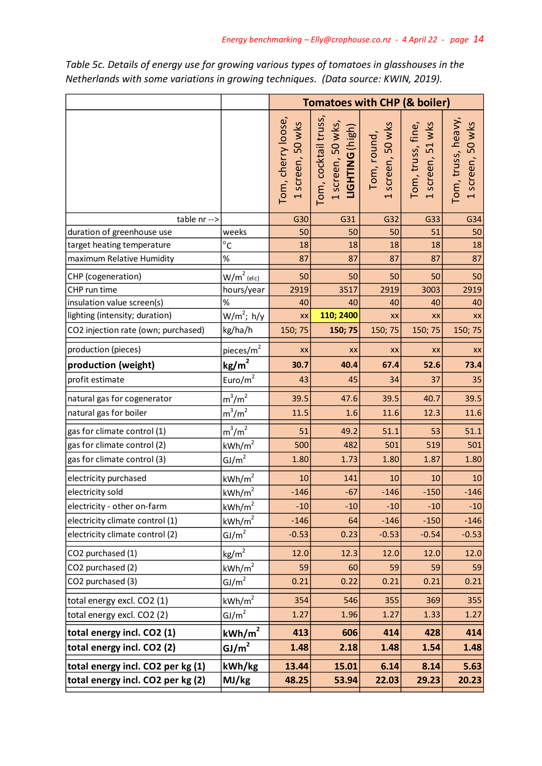|                                     |                       | <b>Tomatoes with CHP (&amp; boiler)</b> |                                                              |                                 |                                       |                                        |  |  |  |
|-------------------------------------|-----------------------|-----------------------------------------|--------------------------------------------------------------|---------------------------------|---------------------------------------|----------------------------------------|--|--|--|
|                                     |                       | Tom, cherry loose,<br>1 screen, 50 wks  | Tom, cocktail truss,<br>1 screen, 50 wks,<br>LIGHTING (high) | Tom, round,<br>1 screen, 50 wks | 1 screen, 51 wks<br>Tom, truss, fine, | Tom, truss, heavy,<br>1 screen, 50 wks |  |  |  |
| table nr -->                        |                       | G30                                     | G31                                                          | G32                             | G33                                   | G34                                    |  |  |  |
| duration of greenhouse use          | weeks                 | 50                                      | 50                                                           | 50                              | 51                                    | 50                                     |  |  |  |
| target heating temperature          | $^{\circ}$ C          | 18                                      | 18                                                           | 18                              | 18                                    | 18                                     |  |  |  |
| maximum Relative Humidity           | $\%$                  | 87                                      | 87                                                           | 87                              | 87                                    | 87                                     |  |  |  |
| CHP (cogeneration)                  | $W/m2$ (elc)          | 50                                      | 50                                                           | 50                              | 50                                    | 50                                     |  |  |  |
| CHP run time                        | hours/year            | 2919                                    | 3517                                                         | 2919                            | 3003                                  | 2919                                   |  |  |  |
| insulation value screen(s)          | $\%$                  | 40                                      | 40                                                           | 40                              | 40                                    | 40                                     |  |  |  |
| lighting (intensity; duration)      | $W/m^2$ ; h/y         | XX                                      | 110; 2400                                                    | XX                              | XX                                    | XX                                     |  |  |  |
| CO2 injection rate (own; purchased) | kg/ha/h               | 150; 75                                 | 150; 75                                                      | 150; 75                         | 150; 75                               | 150; 75                                |  |  |  |
| production (pieces)                 | pieces/m <sup>2</sup> | XX                                      | XX                                                           | XX                              | XX                                    | XX                                     |  |  |  |
| production (weight)                 | kg/m <sup>2</sup>     | 30.7                                    | 40.4                                                         | 67.4                            | 52.6                                  | 73.4                                   |  |  |  |
| profit estimate                     | Euro/ $m2$            | 43                                      | 45                                                           | 34                              | 37                                    | 35                                     |  |  |  |
| natural gas for cogenerator         | $m^3/m^2$             | 39.5                                    | 47.6                                                         | 39.5                            | 40.7                                  | 39.5                                   |  |  |  |
| natural gas for boiler              | $m^3/m^2$             | 11.5                                    | 1.6                                                          | 11.6                            | 12.3                                  | 11.6                                   |  |  |  |
| gas for climate control (1)         | $m^3/m^2$             | 51                                      | 49.2                                                         | 51.1                            | 53                                    | 51.1                                   |  |  |  |
| gas for climate control (2)         | kWh/m <sup>2</sup>    | 500                                     | 482                                                          | 501                             | 519                                   | 501                                    |  |  |  |
| gas for climate control (3)         | $\underline{GJ/m}^2$  | 1.80                                    | 1.73                                                         | 1.80                            | 1.87                                  | 1.80                                   |  |  |  |
| electricity purchased               | kWh/m <sup>2</sup>    | 10                                      | 141                                                          | 10                              | 10                                    | 10                                     |  |  |  |
| electricity sold                    | kWh/m <sup>2</sup>    | $-146$                                  | $-67$                                                        | $-146$                          | $-150$                                | $-146$                                 |  |  |  |
| electricity - other on-farm         | kWh/m <sup>2</sup>    | $-10$                                   | $-10$                                                        | $-10$                           | $-10$                                 | $-10$                                  |  |  |  |
| electricity climate control (1)     | kWh/m <sup>2</sup>    | $-146$                                  | 64                                                           | $-146$                          | $-150$                                | $-146$                                 |  |  |  |
| electricity climate control (2)     | GJ/m <sup>2</sup>     | $-0.53$                                 | 0.23                                                         | $-0.53$                         | $-0.54$                               | $-0.53$                                |  |  |  |
| CO2 purchased (1)                   | $\text{kg/m}^2$       | 12.0                                    | 12.3                                                         | 12.0                            | 12.0                                  | 12.0                                   |  |  |  |
| CO2 purchased (2)                   | kWh/m <sup>2</sup>    | 59                                      | 60                                                           | 59                              | 59                                    | 59                                     |  |  |  |
| CO2 purchased (3)                   | GJ/m <sup>2</sup>     | 0.21                                    | 0.22                                                         | 0.21                            | 0.21                                  | 0.21                                   |  |  |  |
| total energy excl. CO2 (1)          | kWh/m <sup>2</sup>    | 354                                     | 546                                                          | 355                             | 369                                   | 355                                    |  |  |  |
| total energy excl. CO2 (2)          | GJ/m <sup>2</sup>     | 1.27                                    | 1.96                                                         | 1.27                            | 1.33                                  | 1.27                                   |  |  |  |
| total energy incl. CO2 (1)          | kWh/m <sup>2</sup>    | 413                                     | 606                                                          | 414                             | 428                                   | 414                                    |  |  |  |
| total energy incl. CO2 (2)          | $\underline{GJ/m}^2$  | 1.48                                    | 2.18                                                         | 1.48                            | 1.54                                  | 1.48                                   |  |  |  |
| total energy incl. CO2 per kg (1)   | kWh/kg                | 13.44                                   | 15.01                                                        | 6.14                            | 8.14                                  | 5.63                                   |  |  |  |
| total energy incl. CO2 per kg (2)   | MJ/kg                 | 48.25                                   | 53.94                                                        | 22.03                           | 29.23                                 | 20.23                                  |  |  |  |

*Table 5c. Details of energy use for growing various types of tomatoes in glasshouses in the Netherlands with some variations in growing techniques. (Data source: KWIN, 2019).*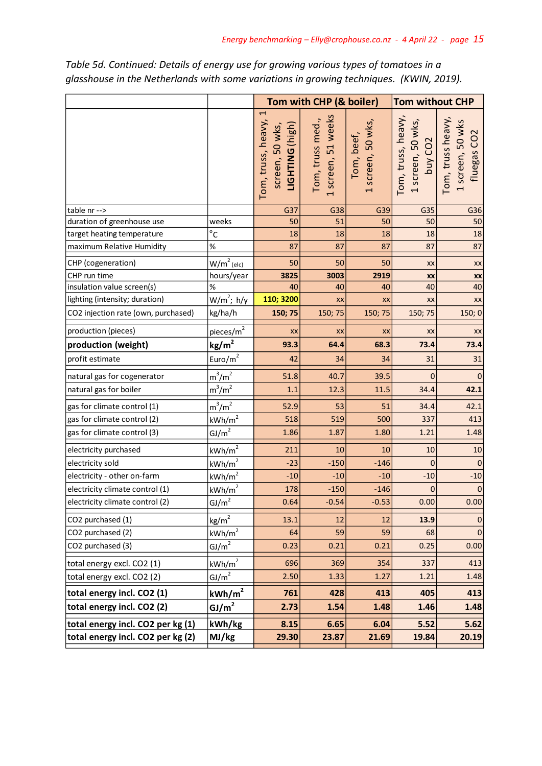|                                     |                       |                                                                                      | Tom with CHP (& boiler)                | <b>Tom without CHP</b>          |                                                                |                                                     |
|-------------------------------------|-----------------------|--------------------------------------------------------------------------------------|----------------------------------------|---------------------------------|----------------------------------------------------------------|-----------------------------------------------------|
|                                     |                       | $\overline{\phantom{0}}$<br>Tom, truss, heavy,<br>screen, 50 wks,<br>LIGHTING (high) | 1 screen, 51 weeks<br>Tom, truss med., | 1 screen, 50 wks,<br>Tom, beef, | Tom, truss, heavy,<br>1 screen, 50 wks,<br>buy CO <sub>2</sub> | Tom, truss heavy,<br>1 screen, 50 wks<br>fluegas CO |
| table nr -->                        |                       | G37                                                                                  | G38                                    | G39                             | G35                                                            | G36                                                 |
| duration of greenhouse use          | weeks                 | 50                                                                                   | 51                                     | 50                              | 50                                                             | 50                                                  |
| target heating temperature          | $^{\circ}$ C          | 18                                                                                   | 18                                     | 18                              | 18                                                             | 18                                                  |
| maximum Relative Humidity           | %                     | 87                                                                                   | 87                                     | 87                              | 87                                                             | 87                                                  |
| CHP (cogeneration)                  | $W/m2$ (elc)          | 50                                                                                   | 50                                     | 50                              | XX                                                             | XX                                                  |
| CHP run time                        | hours/year            | 3825                                                                                 | 3003                                   | 2919                            | XX                                                             | XX                                                  |
| insulation value screen(s)          | %                     | 40                                                                                   | 40                                     | 40                              | 40                                                             | 40                                                  |
| lighting (intensity; duration)      | $W/m^2$ ; h/y         | 110; 3200                                                                            | XX                                     | XX                              | XX                                                             | XX                                                  |
| CO2 injection rate (own, purchased) | kg/ha/h               | 150; 75                                                                              | 150; 75                                | 150; 75                         | 150; 75                                                        | 150;0                                               |
| production (pieces)                 | pieces/m <sup>2</sup> | XX                                                                                   | XX                                     | XX                              | XX                                                             | XX                                                  |
| production (weight)                 | kg/m <sup>2</sup>     | 93.3                                                                                 | 64.4                                   | 68.3                            | 73.4                                                           | 73.4                                                |
| profit estimate                     | Euro/m <sup>2</sup>   | 42                                                                                   | 34                                     | 34                              | 31                                                             | 31                                                  |
| natural gas for cogenerator         | $m^3/m^2$             | 51.8                                                                                 | 40.7                                   | 39.5                            | $\mathbf{0}$                                                   | $\mathbf 0$                                         |
| natural gas for boiler              | $m^3/m^2$             | 1.1                                                                                  | 12.3                                   | 11.5                            | 34.4                                                           | 42.1                                                |
| gas for climate control (1)         | $m^3/m^2$             | 52.9                                                                                 | 53                                     | 51                              | 34.4                                                           | 42.1                                                |
| gas for climate control (2)         | kWh/m <sup>2</sup>    | 518                                                                                  | 519                                    | 500                             | 337                                                            | 413                                                 |
| gas for climate control (3)         | $\underline{GJ/m}^2$  | 1.86                                                                                 | 1.87                                   | 1.80                            | 1.21                                                           | 1.48                                                |
| electricity purchased               | kWh/m <sup>2</sup>    | 211                                                                                  | 10                                     | 10                              | 10                                                             | 10                                                  |
| electricity sold                    | kWh/m <sup>2</sup>    | $-23$                                                                                | $-150$                                 | $-146$                          | $\mathbf 0$                                                    | $\mathbf 0$                                         |
| electricity - other on-farm         | kWh/m <sup>2</sup>    | $-10$                                                                                | $-10$                                  | $-10$                           | $-10$                                                          | $-10$                                               |
| electricity climate control (1)     | kWh/m <sup>2</sup>    | 178                                                                                  | $-150$                                 | $-146$                          | $\pmb{0}$                                                      | $\pmb{0}$                                           |
| electricity climate control (2)     | GI/m <sup>2</sup>     | 0.64                                                                                 | $-0.54$                                | $-0.53$                         | 0.00                                                           | 0.00                                                |
| CO2 purchased (1)                   | kg/m <sup>2</sup>     | 13.1                                                                                 | 12                                     | 12                              | 13.9                                                           | 0                                                   |
| CO2 purchased (2)                   | kWh/m <sup>2</sup>    | 64                                                                                   | 59                                     | 59                              | 68                                                             | $\mathbf 0$                                         |
| CO2 purchased (3)                   | GJ/m <sup>2</sup>     | 0.23                                                                                 | 0.21                                   | 0.21                            | 0.25                                                           | 0.00                                                |
| total energy excl. CO2 (1)          | kWh/m <sup>2</sup>    | 696                                                                                  | 369                                    | 354                             | 337                                                            | 413                                                 |
| total energy excl. CO2 (2)          | GJ/m <sup>2</sup>     | 2.50                                                                                 | 1.33                                   | 1.27                            | 1.21                                                           | 1.48                                                |
| total energy incl. CO2 (1)          | kWh/m <sup>2</sup>    | 761                                                                                  | 428                                    | 413                             | 405                                                            | 413                                                 |
| total energy incl. CO2 (2)          | $\underline{GJ/m}^2$  | 2.73                                                                                 | 1.54                                   | 1.48                            | 1.46                                                           | 1.48                                                |
| total energy incl. CO2 per kg (1)   | kWh/kg                | 8.15                                                                                 | 6.65                                   | 6.04                            | 5.52                                                           | 5.62                                                |
| total energy incl. CO2 per kg (2)   | MJ/kg                 | 29.30                                                                                | 23.87                                  | 21.69                           | 19.84                                                          | 20.19                                               |

*Table 5d. Continued: Details of energy use for growing various types of tomatoes in a glasshouse in the Netherlands with some variations in growing techniques. (KWIN, 2019).*